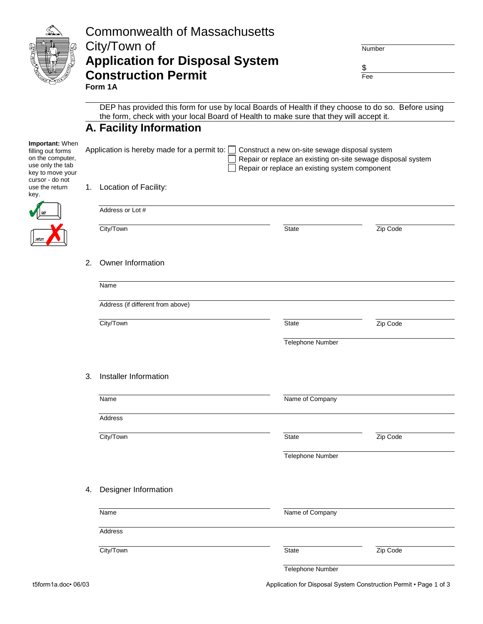|                                                                                                                     |    | <b>Commonwealth of Massachusetts</b><br>City/Town of<br><b>Application for Disposal System</b><br><b>Construction Permit</b>                                                                                                       | Number<br>\$<br>Fee |          |  |  |  |  |
|---------------------------------------------------------------------------------------------------------------------|----|------------------------------------------------------------------------------------------------------------------------------------------------------------------------------------------------------------------------------------|---------------------|----------|--|--|--|--|
|                                                                                                                     |    | Form 1A<br>DEP has provided this form for use by local Boards of Health if they choose to do so. Before using<br>the form, check with your local Board of Health to make sure that they will accept it.<br>A. Facility Information |                     |          |  |  |  |  |
| Important: When<br>filling out forms<br>on the computer,<br>use only the tab<br>key to move your<br>cursor - do not |    | Application is hereby made for a permit to:<br>Construct a new on-site sewage disposal system<br>Repair or replace an existing on-site sewage disposal system<br>Repair or replace an existing system component                    |                     |          |  |  |  |  |
| use the return<br>key.                                                                                              | 1. | Location of Facility:                                                                                                                                                                                                              |                     |          |  |  |  |  |
|                                                                                                                     |    | Address or Lot #                                                                                                                                                                                                                   |                     |          |  |  |  |  |
|                                                                                                                     |    | City/Town                                                                                                                                                                                                                          | <b>State</b>        | Zip Code |  |  |  |  |
|                                                                                                                     | 2. | Owner Information                                                                                                                                                                                                                  |                     |          |  |  |  |  |
|                                                                                                                     |    | Name                                                                                                                                                                                                                               |                     |          |  |  |  |  |
|                                                                                                                     |    | Address (if different from above)                                                                                                                                                                                                  |                     |          |  |  |  |  |
|                                                                                                                     |    | City/Town                                                                                                                                                                                                                          | <b>State</b>        | Zip Code |  |  |  |  |
|                                                                                                                     |    |                                                                                                                                                                                                                                    | Telephone Number    |          |  |  |  |  |
|                                                                                                                     |    |                                                                                                                                                                                                                                    |                     |          |  |  |  |  |
|                                                                                                                     | 3. | Installer Information                                                                                                                                                                                                              |                     |          |  |  |  |  |
|                                                                                                                     |    | Name                                                                                                                                                                                                                               | Name of Company     |          |  |  |  |  |
|                                                                                                                     |    | Address                                                                                                                                                                                                                            |                     |          |  |  |  |  |
|                                                                                                                     |    | City/Town                                                                                                                                                                                                                          | State               | Zip Code |  |  |  |  |
|                                                                                                                     |    |                                                                                                                                                                                                                                    | Telephone Number    |          |  |  |  |  |
|                                                                                                                     | 4. | Designer Information                                                                                                                                                                                                               |                     |          |  |  |  |  |
|                                                                                                                     |    | Name                                                                                                                                                                                                                               | Name of Company     |          |  |  |  |  |
|                                                                                                                     |    | Address                                                                                                                                                                                                                            |                     |          |  |  |  |  |
|                                                                                                                     |    | City/Town                                                                                                                                                                                                                          | State               | Zip Code |  |  |  |  |
|                                                                                                                     |    |                                                                                                                                                                                                                                    | Telephone Number    |          |  |  |  |  |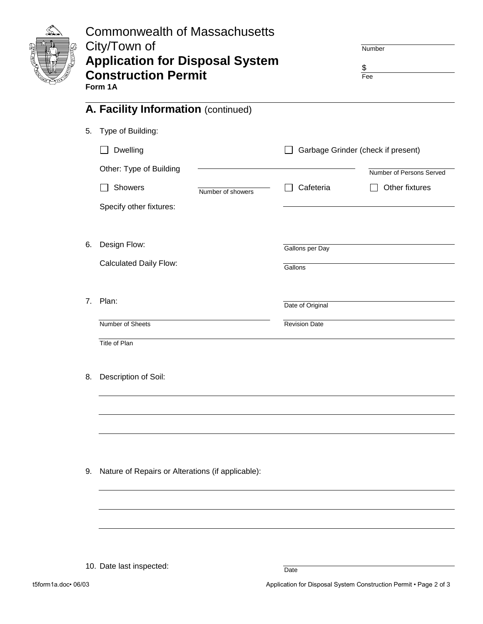|    | <b>Commonwealth of Massachusetts</b><br>City/Town of<br><b>Application for Disposal System</b><br><b>Construction Permit</b><br>Form 1A |                                    | Number<br>\$<br>Fee      |
|----|-----------------------------------------------------------------------------------------------------------------------------------------|------------------------------------|--------------------------|
|    | A. Facility Information (continued)                                                                                                     |                                    |                          |
| 5. | Type of Building:                                                                                                                       |                                    |                          |
|    | <b>Dwelling</b><br>$\blacksquare$                                                                                                       | Garbage Grinder (check if present) |                          |
|    | Other: Type of Building                                                                                                                 |                                    | Number of Persons Served |
|    | Showers<br>Number of showers                                                                                                            | Cafeteria                          | Other fixtures           |
|    | Specify other fixtures:                                                                                                                 |                                    |                          |
| 6. | Design Flow:                                                                                                                            |                                    |                          |
|    | <b>Calculated Daily Flow:</b>                                                                                                           | Gallons per Day                    |                          |
|    |                                                                                                                                         | Gallons                            |                          |
|    | 7. Plan:                                                                                                                                | Date of Original                   |                          |
|    | Number of Sheets                                                                                                                        | <b>Revision Date</b>               |                          |
|    | Title of Plan                                                                                                                           |                                    |                          |
| 8. | Description of Soil:                                                                                                                    |                                    |                          |
|    |                                                                                                                                         |                                    |                          |
|    |                                                                                                                                         |                                    |                          |
| 9. | Nature of Repairs or Alterations (if applicable):                                                                                       |                                    |                          |
|    |                                                                                                                                         |                                    |                          |
|    |                                                                                                                                         |                                    |                          |
|    |                                                                                                                                         |                                    |                          |
|    | 10. Date last inspected:                                                                                                                | Date                               |                          |

t5form1a.doc• 06/03 Application for Disposal System Construction Permit • Page 2 of 3